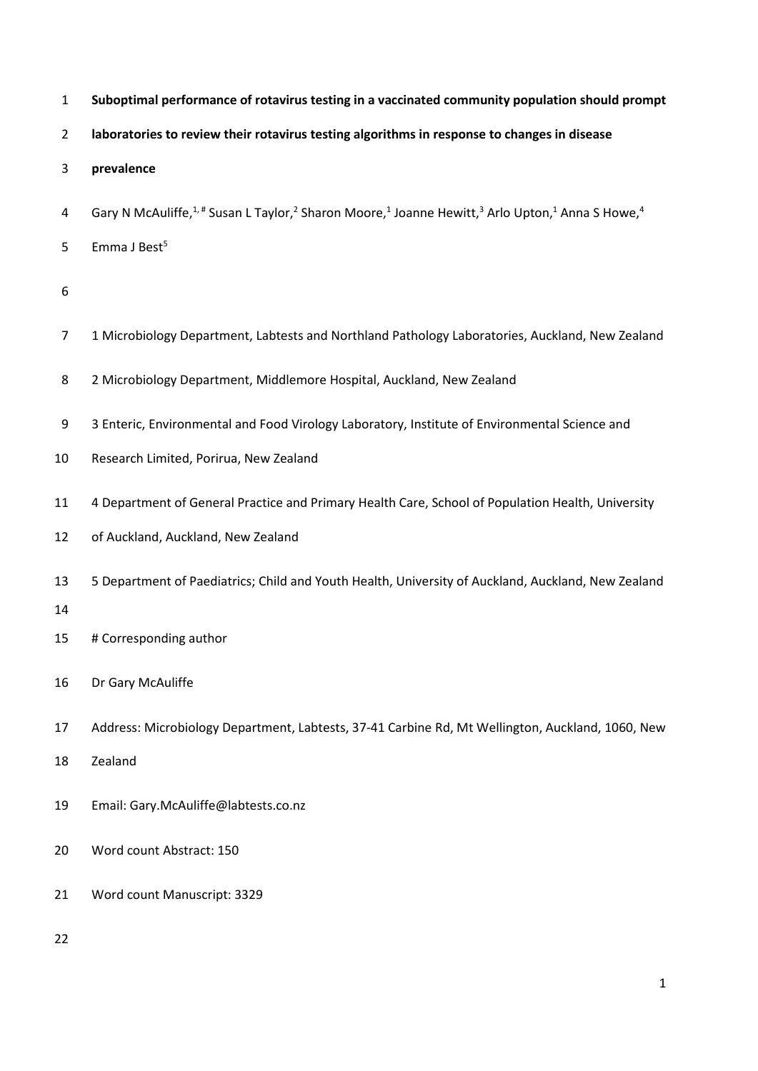| $\mathbf{1}$   | Suboptimal performance of rotavirus testing in a vaccinated community population should prompt                                                                          |
|----------------|-------------------------------------------------------------------------------------------------------------------------------------------------------------------------|
| $\overline{2}$ | laboratories to review their rotavirus testing algorithms in response to changes in disease                                                                             |
| 3              | prevalence                                                                                                                                                              |
| 4              | Gary N McAuliffe, <sup>1,#</sup> Susan L Taylor, <sup>2</sup> Sharon Moore, <sup>1</sup> Joanne Hewitt, <sup>3</sup> Arlo Upton, <sup>1</sup> Anna S Howe, <sup>4</sup> |
| 5              | Emma J Best <sup>5</sup>                                                                                                                                                |
| 6              |                                                                                                                                                                         |
| 7              | 1 Microbiology Department, Labtests and Northland Pathology Laboratories, Auckland, New Zealand                                                                         |
| 8              | 2 Microbiology Department, Middlemore Hospital, Auckland, New Zealand                                                                                                   |
| 9              | 3 Enteric, Environmental and Food Virology Laboratory, Institute of Environmental Science and                                                                           |
| 10             | Research Limited, Porirua, New Zealand                                                                                                                                  |
| 11             | 4 Department of General Practice and Primary Health Care, School of Population Health, University                                                                       |
| 12             | of Auckland, Auckland, New Zealand                                                                                                                                      |
| 13             | 5 Department of Paediatrics; Child and Youth Health, University of Auckland, Auckland, New Zealand                                                                      |
| 14<br>15       | # Corresponding author                                                                                                                                                  |
| 16             | Dr Gary McAuliffe                                                                                                                                                       |
| 17             | Address: Microbiology Department, Labtests, 37-41 Carbine Rd, Mt Wellington, Auckland, 1060, New                                                                        |
| 18             | Zealand                                                                                                                                                                 |
| 19             | Email: Gary.McAuliffe@labtests.co.nz                                                                                                                                    |
| 20             | Word count Abstract: 150                                                                                                                                                |
| 21             | Word count Manuscript: 3329                                                                                                                                             |
| 22             |                                                                                                                                                                         |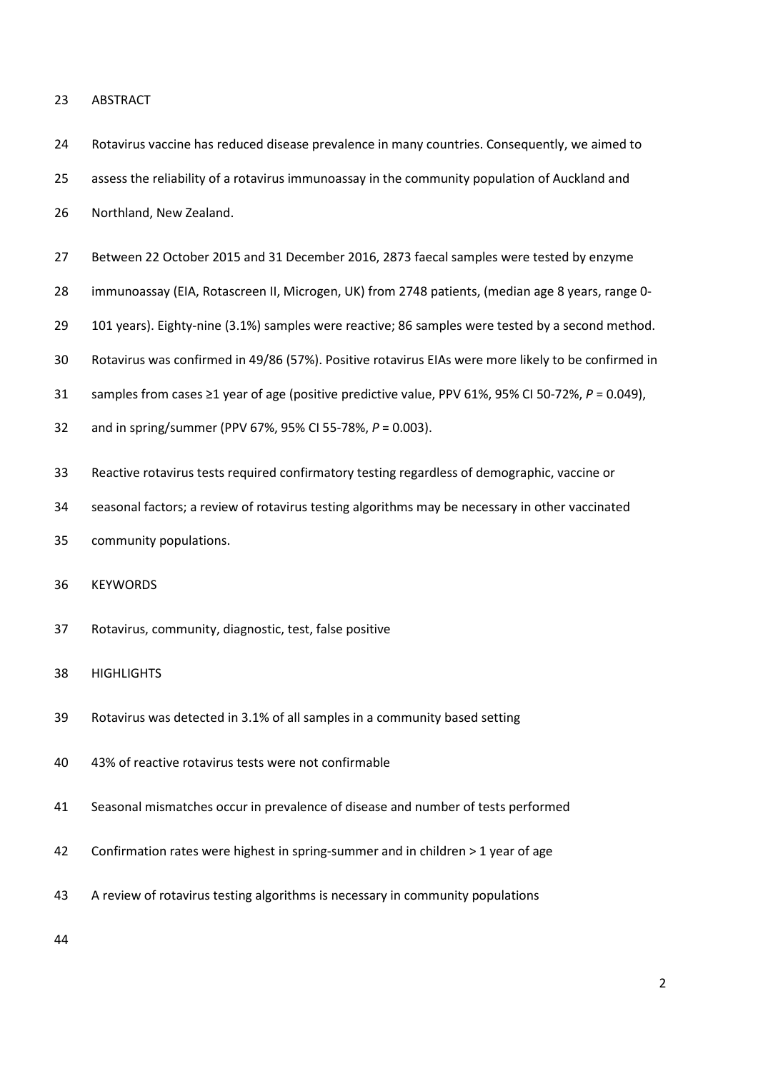### ABSTRACT

- Rotavirus vaccine has reduced disease prevalence in many countries. Consequently, we aimed to assess the reliability of a rotavirus immunoassay in the community population of Auckland and Northland, New Zealand.
- Between 22 October 2015 and 31 December 2016, 2873 faecal samples were tested by enzyme
- immunoassay (EIA, Rotascreen II, Microgen, UK) from 2748 patients, (median age 8 years, range 0-
- 101 years). Eighty-nine (3.1%) samples were reactive; 86 samples were tested by a second method.
- Rotavirus was confirmed in 49/86 (57%). Positive rotavirus EIAs were more likely to be confirmed in
- samples from cases ≥1 year of age (positive predictive value, PPV 61%, 95% CI 50-72%, *P* = 0.049),
- and in spring/summer (PPV 67%, 95% CI 55-78%, *P* = 0.003).
- Reactive rotavirus tests required confirmatory testing regardless of demographic, vaccine or
- seasonal factors; a review of rotavirus testing algorithms may be necessary in other vaccinated
- community populations.

## KEYWORDS

- Rotavirus, community, diagnostic, test, false positive
- HIGHLIGHTS
- Rotavirus was detected in 3.1% of all samples in a community based setting
- 43% of reactive rotavirus tests were not confirmable
- Seasonal mismatches occur in prevalence of disease and number of tests performed
- Confirmation rates were highest in spring-summer and in children > 1 year of age
- A review of rotavirus testing algorithms is necessary in community populations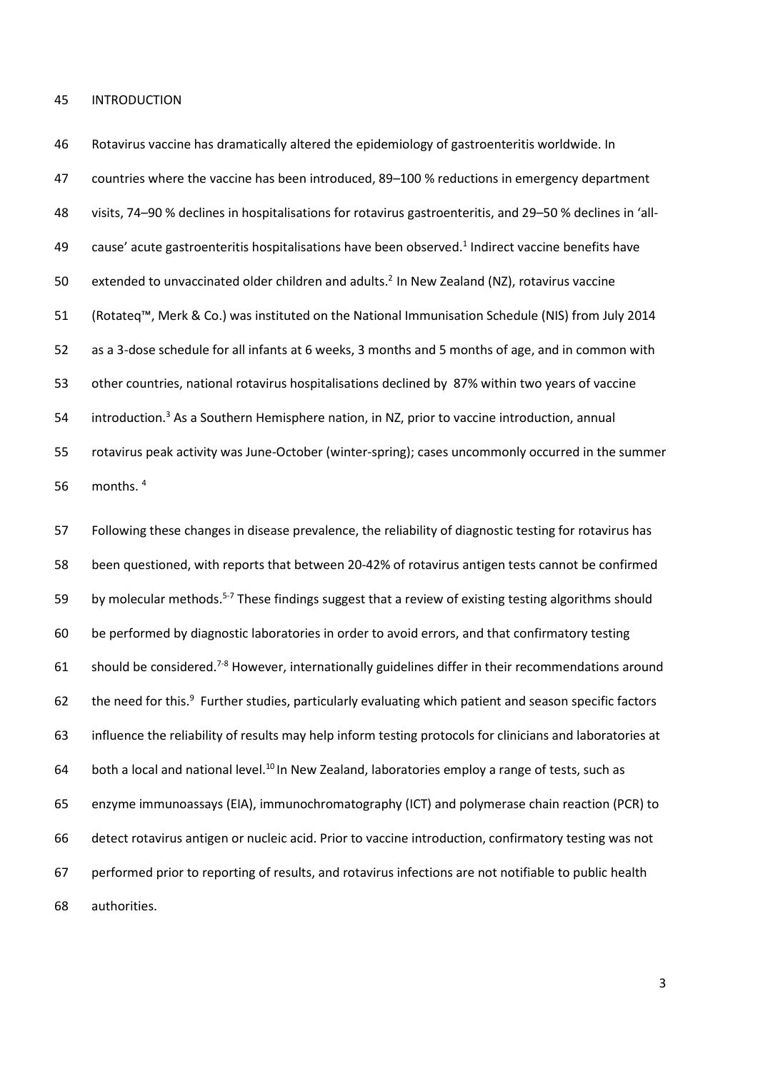#### INTRODUCTION

 Rotavirus vaccine has dramatically altered the epidemiology of gastroenteritis worldwide. In countries where the vaccine has been introduced, 89–100 % reductions in emergency department visits, 74–90 % declines in hospitalisations for rotavirus gastroenteritis, and 29–50 % declines in 'all-49 cause' acute gastroenteritis hospitalisations have been observed.<sup>1</sup> Indirect vaccine benefits have 50 extended to unvaccinated older children and adults.<sup>2</sup> In New Zealand (NZ), rotavirus vaccine (Rotateq™, Merk & Co.) was instituted on the National Immunisation Schedule (NIS) from July 2014 as a 3-dose schedule for all infants at 6 weeks, 3 months and 5 months of age, and in common with other countries, national rotavirus hospitalisations declined by 87% within two years of vaccine 54 introduction.<sup>3</sup> As a Southern Hemisphere nation, in NZ, prior to vaccine introduction, annual rotavirus peak activity was June-October (winter-spring); cases uncommonly occurred in the summer 56 months. 4

 Following these changes in disease prevalence, the reliability of diagnostic testing for rotavirus has been questioned, with reports that between 20-42% of rotavirus antigen tests cannot be confirmed 59 by molecular methods.<sup>5-7</sup> These findings suggest that a review of existing testing algorithms should be performed by diagnostic laboratories in order to avoid errors, and that confirmatory testing 61 should be considered.<sup>7-8</sup> However, internationally guidelines differ in their recommendations around 62 the need for this.<sup>9</sup> Further studies, particularly evaluating which patient and season specific factors influence the reliability of results may help inform testing protocols for clinicians and laboratories at 64 both a local and national level. $^{10}$  In New Zealand, laboratories employ a range of tests, such as enzyme immunoassays (EIA), immunochromatography (ICT) and polymerase chain reaction (PCR) to detect rotavirus antigen or nucleic acid. Prior to vaccine introduction, confirmatory testing was not performed prior to reporting of results, and rotavirus infections are not notifiable to public health authorities.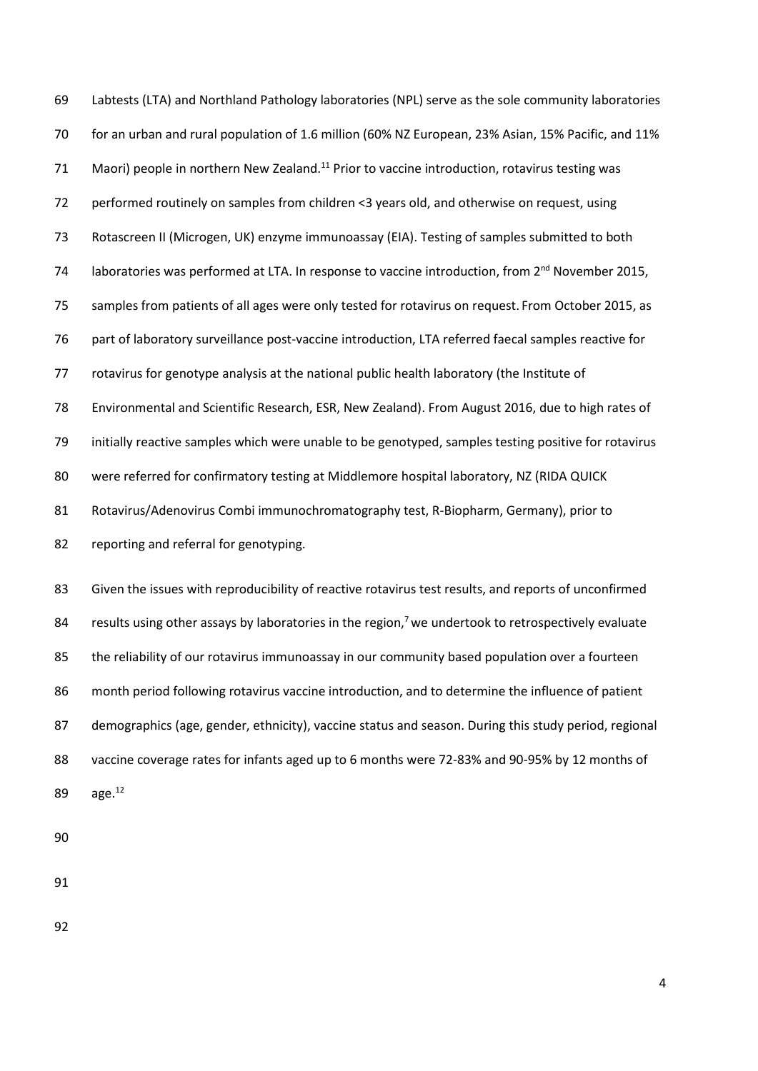Labtests (LTA) and Northland Pathology laboratories (NPL) serve as the sole community laboratories for an urban and rural population of 1.6 million (60% NZ European, 23% Asian, 15% Pacific, and 11% 71 Maori) people in northern New Zealand.<sup>11</sup> Prior to vaccine introduction, rotavirus testing was 72 performed routinely on samples from children <3 years old, and otherwise on request, using Rotascreen II (Microgen, UK) enzyme immunoassay (EIA). Testing of samples submitted to both 74 Iaboratories was performed at LTA. In response to vaccine introduction, from 2<sup>nd</sup> November 2015, samples from patients of all ages were only tested for rotavirus on request. From October 2015, as part of laboratory surveillance post-vaccine introduction, LTA referred faecal samples reactive for rotavirus for genotype analysis at the national public health laboratory (the Institute of Environmental and Scientific Research, ESR, New Zealand). From August 2016, due to high rates of initially reactive samples which were unable to be genotyped, samples testing positive for rotavirus 80 were referred for confirmatory testing at Middlemore hospital laboratory, NZ (RIDA QUICK Rotavirus/Adenovirus Combi immunochromatography test, R-Biopharm, Germany), prior to 82 reporting and referral for genotyping.

 Given the issues with reproducibility of reactive rotavirus test results, and reports of unconfirmed 84 results using other assays by laboratories in the region,<sup>7</sup> we undertook to retrospectively evaluate 85 the reliability of our rotavirus immunoassay in our community based population over a fourteen month period following rotavirus vaccine introduction, and to determine the influence of patient demographics (age, gender, ethnicity), vaccine status and season. During this study period, regional vaccine coverage rates for infants aged up to 6 months were 72-83% and 90-95% by 12 months of 89 age.<sup>12</sup>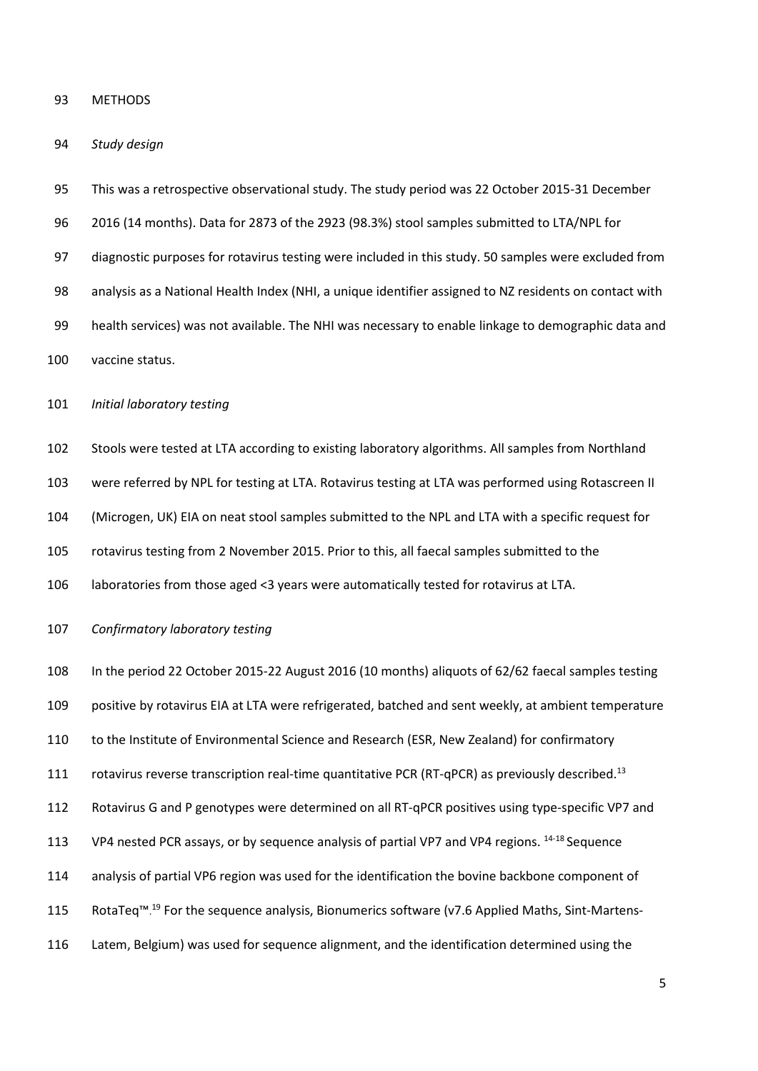#### METHODS

### *Study design*

 This was a retrospective observational study. The study period was 22 October 2015-31 December 2016 (14 months). Data for 2873 of the 2923 (98.3%) stool samples submitted to LTA/NPL for diagnostic purposes for rotavirus testing were included in this study. 50 samples were excluded from analysis as a National Health Index (NHI, a unique identifier assigned to NZ residents on contact with health services) was not available. The NHI was necessary to enable linkage to demographic data and vaccine status.

*Initial laboratory testing*

Stools were tested at LTA according to existing laboratory algorithms. All samples from Northland

were referred by NPL for testing at LTA. Rotavirus testing at LTA was performed using Rotascreen II

(Microgen, UK) EIA on neat stool samples submitted to the NPL and LTA with a specific request for

rotavirus testing from 2 November 2015. Prior to this, all faecal samples submitted to the

laboratories from those aged <3 years were automatically tested for rotavirus at LTA.

*Confirmatory laboratory testing*

 In the period 22 October 2015-22 August 2016 (10 months) aliquots of 62/62 faecal samples testing positive by rotavirus EIA at LTA were refrigerated, batched and sent weekly, at ambient temperature to the Institute of Environmental Science and Research (ESR, New Zealand) for confirmatory 111 rotavirus reverse transcription real-time quantitative PCR (RT-qPCR) as previously described.<sup>13</sup> Rotavirus G and P genotypes were determined on all RT-qPCR positives using type-specific VP7 and 113 VP4 nested PCR assays, or by sequence analysis of partial VP7 and VP4 regions. 14-18 Sequence analysis of partial VP6 region was used for the identification the bovine backbone component of 115 RotaTeq™.<sup>19</sup> For the sequence analysis, Bionumerics software (v7.6 Applied Maths, Sint-Martens-Latem, Belgium) was used for sequence alignment, and the identification determined using the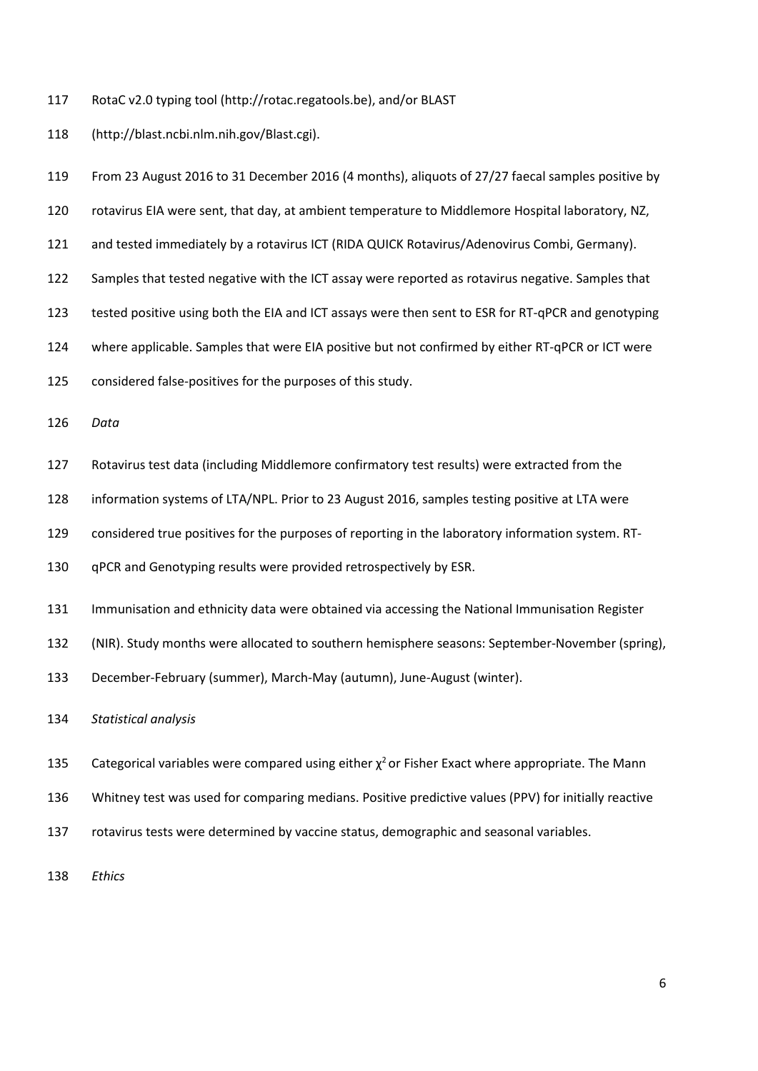RotaC v2.0 typing tool [\(http://rotac.regatools.be\)](http://rotac.regatools.be/), and/or BLAST

[\(http://blast.ncbi.nlm.nih.gov/Blast.cgi\)](http://blast.ncbi.nlm.nih.gov/Blast.cgi).

 From 23 August 2016 to 31 December 2016 (4 months), aliquots of 27/27 faecal samples positive by rotavirus EIA were sent, that day, at ambient temperature to Middlemore Hospital laboratory, NZ, and tested immediately by a rotavirus ICT (RIDA QUICK Rotavirus/Adenovirus Combi, Germany). Samples that tested negative with the ICT assay were reported as rotavirus negative. Samples that tested positive using both the EIA and ICT assays were then sent to ESR for RT-qPCR and genotyping where applicable. Samples that were EIA positive but not confirmed by either RT-qPCR or ICT were considered false-positives for the purposes of this study. *Data*

- Rotavirus test data (including Middlemore confirmatory test results) were extracted from the
- information systems of LTA/NPL. Prior to 23 August 2016, samples testing positive at LTA were
- considered true positives for the purposes of reporting in the laboratory information system. RT-
- qPCR and Genotyping results were provided retrospectively by ESR.
- Immunisation and ethnicity data were obtained via accessing the National Immunisation Register
- (NIR). Study months were allocated to southern hemisphere seasons: September-November (spring),
- December-February (summer), March-May (autumn), June-August (winter).

*Statistical analysis*

- 135 Categorical variables were compared using either  $\chi^2$  or Fisher Exact where appropriate. The Mann
- Whitney test was used for comparing medians. Positive predictive values (PPV) for initially reactive
- rotavirus tests were determined by vaccine status, demographic and seasonal variables.

*Ethics*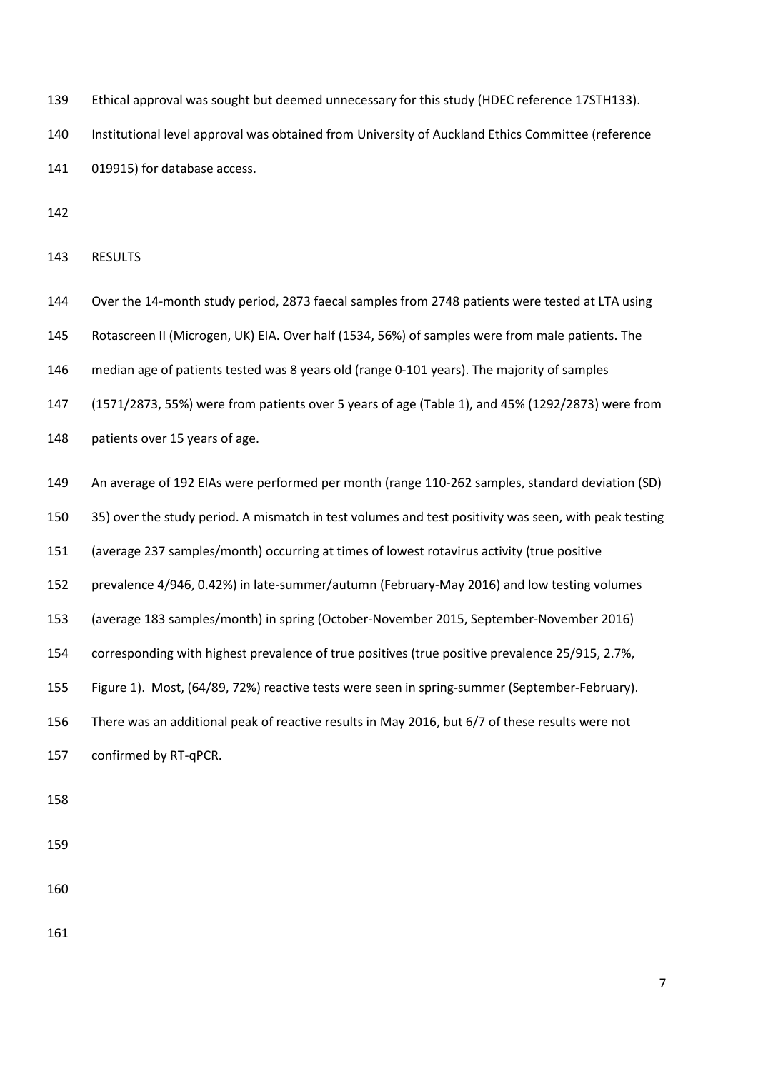Ethical approval was sought but deemed unnecessary for this study (HDEC reference 17STH133).

 Institutional level approval was obtained from University of Auckland Ethics Committee (reference 019915) for database access.

RESULTS

 Over the 14-month study period, 2873 faecal samples from 2748 patients were tested at LTA using Rotascreen II (Microgen, UK) EIA. Over half (1534, 56%) of samples were from male patients. The median age of patients tested was 8 years old (range 0-101 years). The majority of samples (1571/2873, 55%) were from patients over 5 years of age (Table 1), and 45% (1292/2873) were from patients over 15 years of age.

- An average of 192 EIAs were performed per month (range 110-262 samples, standard deviation (SD)
- 35) over the study period. A mismatch in test volumes and test positivity was seen, with peak testing
- (average 237 samples/month) occurring at times of lowest rotavirus activity (true positive
- prevalence 4/946, 0.42%) in late-summer/autumn (February-May 2016) and low testing volumes
- (average 183 samples/month) in spring (October-November 2015, September-November 2016)
- corresponding with highest prevalence of true positives (true positive prevalence 25/915, 2.7%,
- Figure 1). Most, (64/89, 72%) reactive tests were seen in spring-summer (September-February).
- There was an additional peak of reactive results in May 2016, but 6/7 of these results were not
- confirmed by RT-qPCR.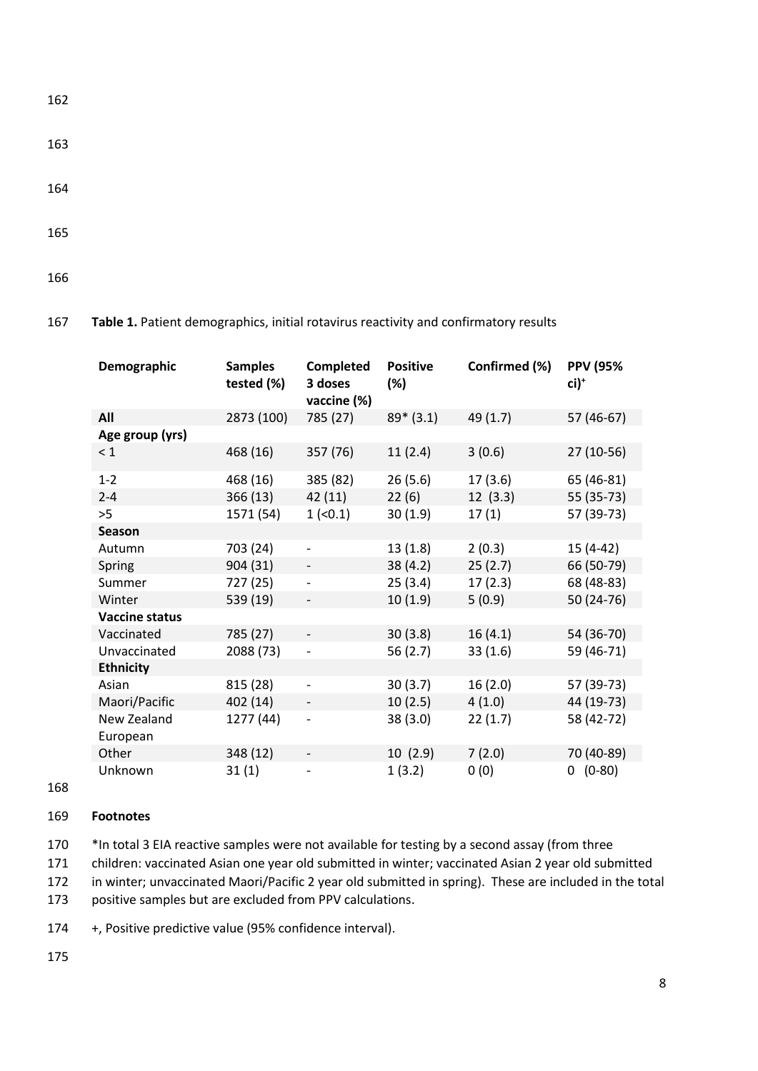163

- 164
- 165

166

#### **Demographic Samples tested (%) Completed 3 doses vaccine (%) Positive (%) Confirmed (%) PPV (95% ci)+ All** 2873 (100) 785 (27) 89\* (3.1) 49 (1.7) 57 (46-67) **Age group (yrs)**  $< 1$  468 (16) 357 (76) 11 (2.4) 3 (0.6) 27 (10-56) 1-2 468 (16) 385 (82) 26 (5.6) 17 (3.6) 65 (46-81) 2-4 366 (13) 42 (11) 22 (6) 12 (3.3) 55 (35-73) >5 1571 (54) 1 (<0.1) 30 (1.9) 17 (1) 57 (39-73) **Season** Autumn 703 (24) - 13 (1.8) 2 (0.3) 15 (4-42) Spring 904 (31) - 38 (4.2) 25 (2.7) 66 (50-79) Summer 727 (25) - 25 (3.4) 17 (2.3) 68 (48-83) Winter 539 (19) - 10 (1.9) 5 (0.9) 50 (24-76) **Vaccine status** Vaccinated 785 (27) - 30 (3.8) 16 (4.1) 54 (36-70) Unvaccinated 2088 (73) - 56 (2.7) 33 (1.6) 59 (46-71) **Ethnicity** Asian 815 (28) - 30 (3.7) 16 (2.0) 57 (39-73) Maori/Pacific 402 (14) - 10 (2.5) 4 (1.0) 44 (19-73) New Zealand European 1277 (44) - 38 (3.0) 22 (1.7) 58 (42-72) Other 348 (12) - 10 (2.9) 7 (2.0) 70 (40-89) Unknown 31 (1) - 1 (3.2) 0 (0) 0 (0-80)

# 167 **Table 1.** Patient demographics, initial rotavirus reactivity and confirmatory results

168

# 169 **Footnotes**

170 \*In total 3 EIA reactive samples were not available for testing by a second assay (from three

171 children: vaccinated Asian one year old submitted in winter; vaccinated Asian 2 year old submitted

172 in winter; unvaccinated Maori/Pacific 2 year old submitted in spring). These are included in the total

173 positive samples but are excluded from PPV calculations.

174 +, Positive predictive value (95% confidence interval).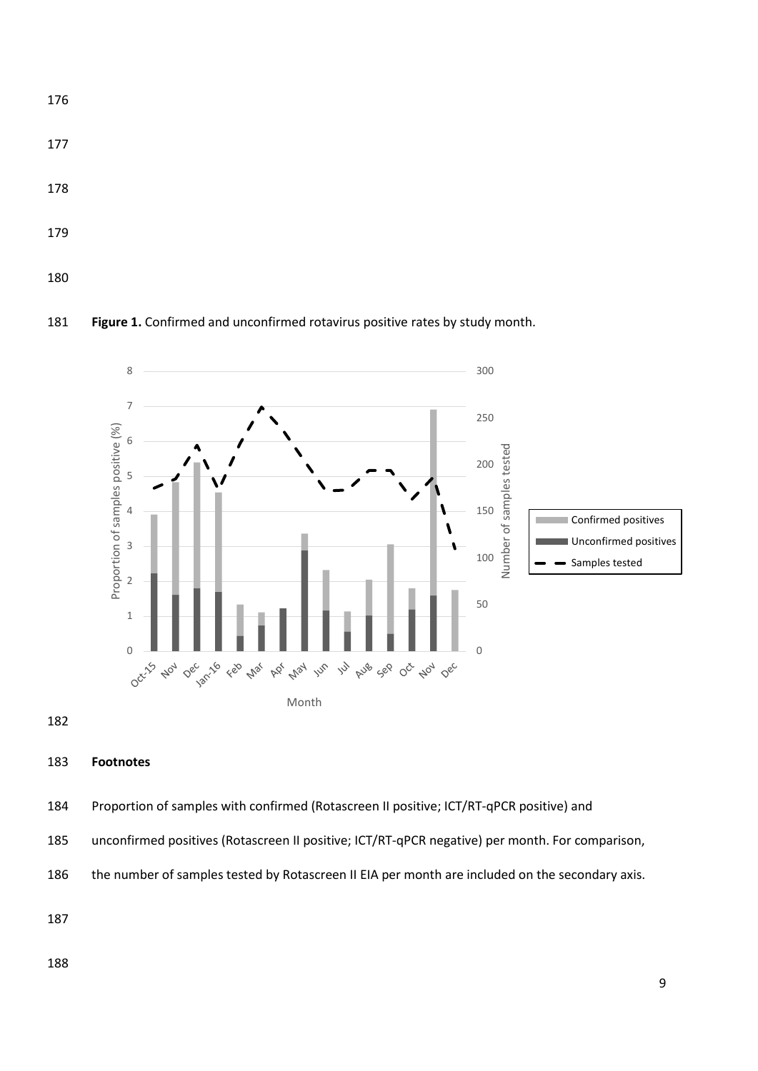

**Figure 1.** Confirmed and unconfirmed rotavirus positive rates by study month.



# **Footnotes**

Proportion of samples with confirmed (Rotascreen II positive; ICT/RT-qPCR positive) and

unconfirmed positives (Rotascreen II positive; ICT/RT-qPCR negative) per month. For comparison,

the number of samples tested by Rotascreen II EIA per month are included on the secondary axis.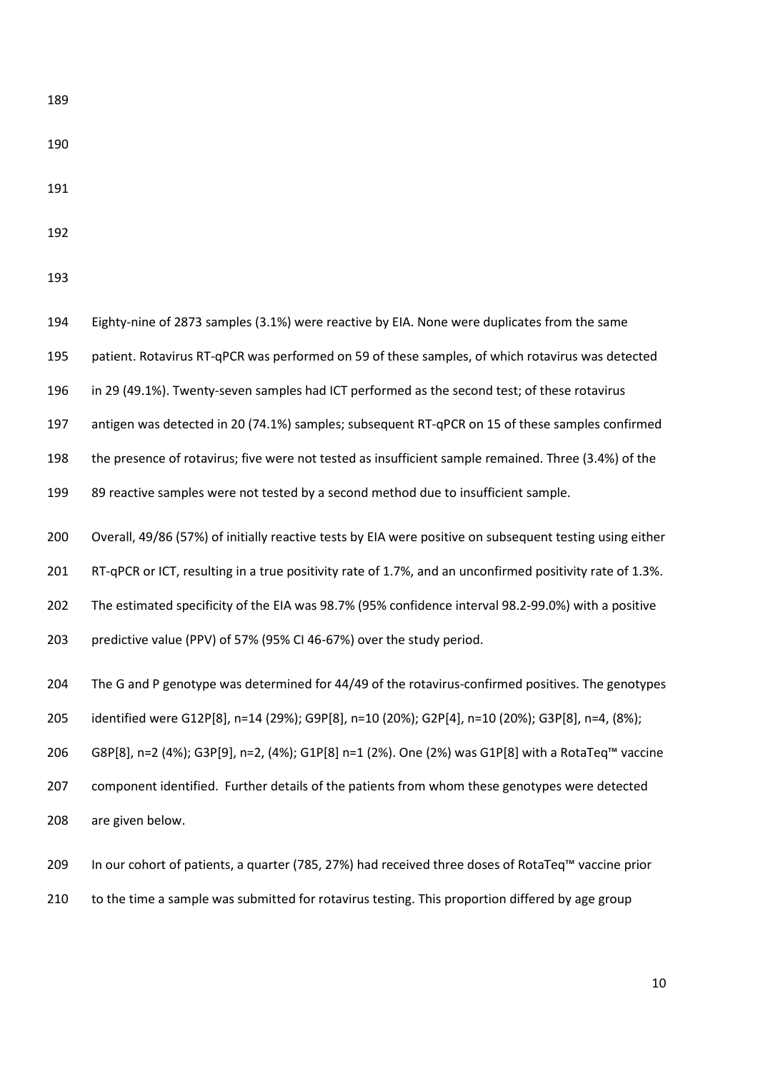- 
- 
- 
- 

 Eighty-nine of 2873 samples (3.1%) were reactive by EIA. None were duplicates from the same patient. Rotavirus RT-qPCR was performed on 59 of these samples, of which rotavirus was detected in 29 (49.1%). Twenty-seven samples had ICT performed as the second test; of these rotavirus antigen was detected in 20 (74.1%) samples; subsequent RT-qPCR on 15 of these samples confirmed the presence of rotavirus; five were not tested as insufficient sample remained. Three (3.4%) of the 89 reactive samples were not tested by a second method due to insufficient sample. Overall, 49/86 (57%) of initially reactive tests by EIA were positive on subsequent testing using either RT-qPCR or ICT, resulting in a true positivity rate of 1.7%, and an unconfirmed positivity rate of 1.3%. The estimated specificity of the EIA was 98.7% (95% confidence interval 98.2-99.0%) with a positive predictive value (PPV) of 57% (95% CI 46-67%) over the study period. The G and P genotype was determined for 44/49 of the rotavirus-confirmed positives. The genotypes identified were G12P[8], n=14 (29%); G9P[8], n=10 (20%); G2P[4], n=10 (20%); G3P[8], n=4, (8%); G8P[8], n=2 (4%); G3P[9], n=2, (4%); G1P[8] n=1 (2%). One (2%) was G1P[8] with a RotaTeq™ vaccine component identified. Further details of the patients from whom these genotypes were detected are given below. In our cohort of patients, a quarter (785, 27%) had received three doses of RotaTeq™ vaccine prior

210 to the time a sample was submitted for rotavirus testing. This proportion differed by age group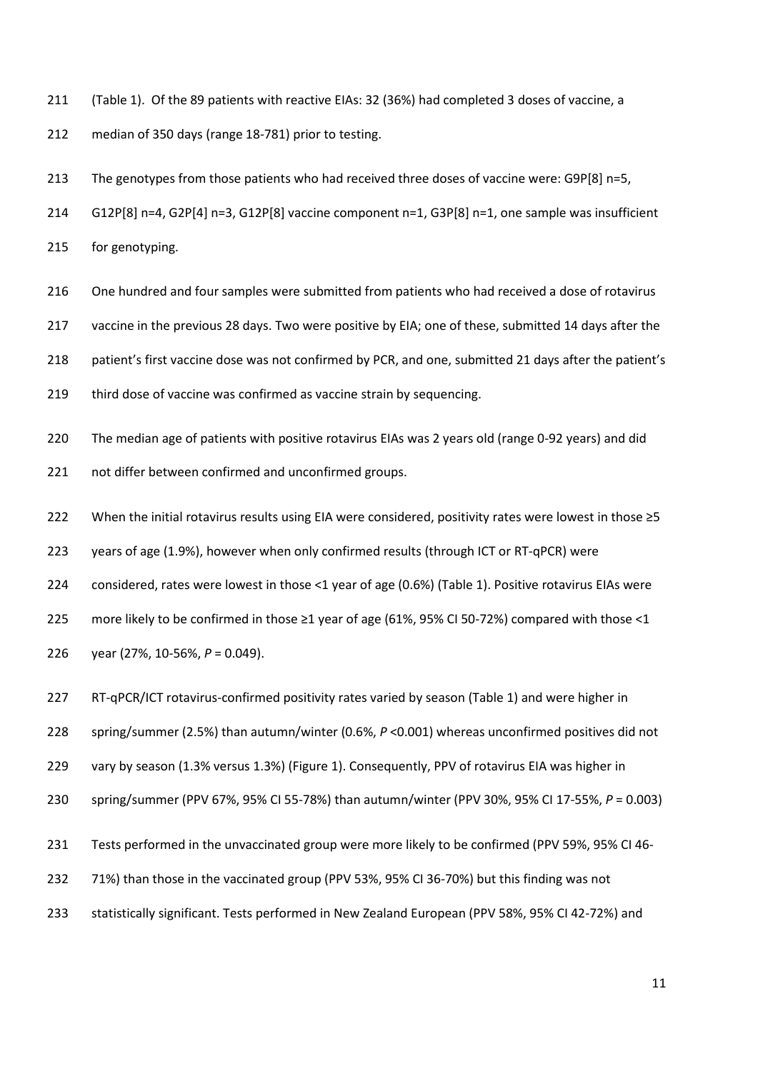(Table 1). Of the 89 patients with reactive EIAs: 32 (36%) had completed 3 doses of vaccine, a

median of 350 days (range 18-781) prior to testing.

213 The genotypes from those patients who had received three doses of vaccine were: G9P[8] n=5,

G12P[8] n=4, G2P[4] n=3, G12P[8] vaccine component n=1, G3P[8] n=1, one sample was insufficient

for genotyping.

216 One hundred and four samples were submitted from patients who had received a dose of rotavirus

vaccine in the previous 28 days. Two were positive by EIA; one of these, submitted 14 days after the

patient's first vaccine dose was not confirmed by PCR, and one, submitted 21 days after the patient's

third dose of vaccine was confirmed as vaccine strain by sequencing.

The median age of patients with positive rotavirus EIAs was 2 years old (range 0-92 years) and did

not differ between confirmed and unconfirmed groups.

When the initial rotavirus results using EIA were considered, positivity rates were lowest in those ≥5

years of age (1.9%), however when only confirmed results (through ICT or RT-qPCR) were

considered, rates were lowest in those <1 year of age (0.6%) (Table 1). Positive rotavirus EIAs were

more likely to be confirmed in those ≥1 year of age (61%, 95% CI 50-72%) compared with those <1

year (27%, 10-56%, *P* = 0.049).

RT-qPCR/ICT rotavirus-confirmed positivity rates varied by season (Table 1) and were higher in

spring/summer (2.5%) than autumn/winter (0.6%, *P* <0.001) whereas unconfirmed positives did not

vary by season (1.3% versus 1.3%) (Figure 1). Consequently, PPV of rotavirus EIA was higher in

spring/summer (PPV 67%, 95% CI 55-78%) than autumn/winter (PPV 30%, 95% CI 17-55%, *P* = 0.003)

Tests performed in the unvaccinated group were more likely to be confirmed (PPV 59%, 95% CI 46-

- 71%) than those in the vaccinated group (PPV 53%, 95% CI 36-70%) but this finding was not
- statistically significant. Tests performed in New Zealand European (PPV 58%, 95% CI 42-72%) and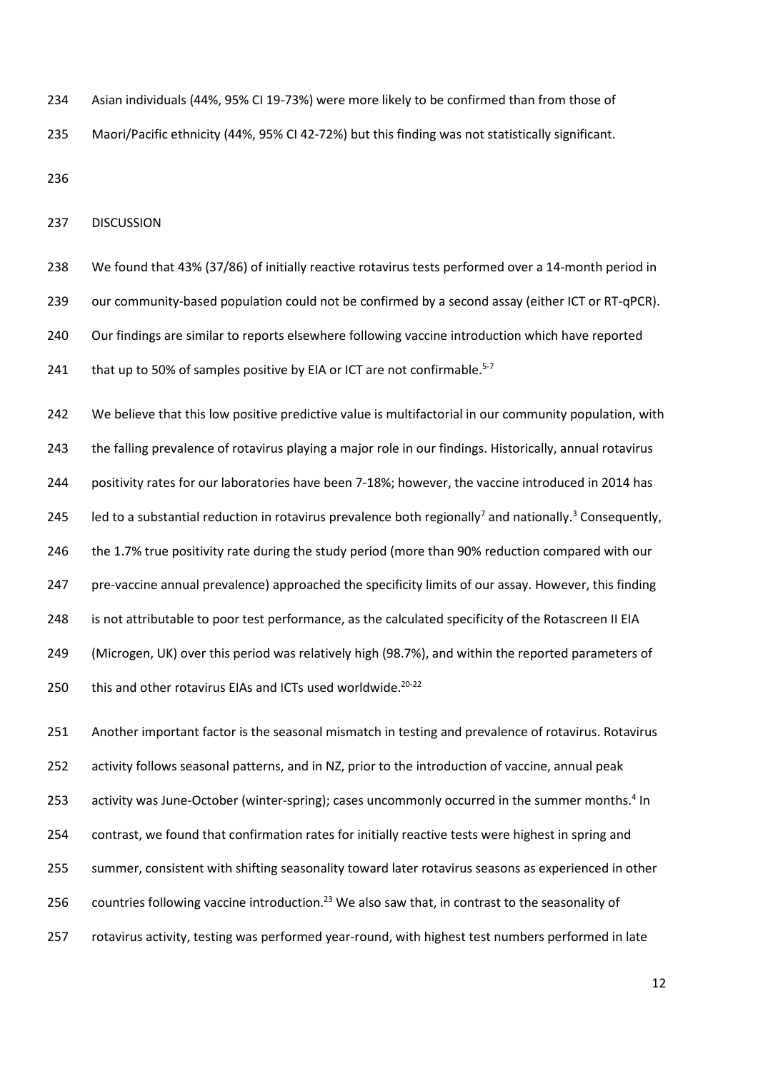Asian individuals (44%, 95% CI 19-73%) were more likely to be confirmed than from those of Maori/Pacific ethnicity (44%, 95% CI 42-72%) but this finding was not statistically significant.

DISCUSSION

 We found that 43% (37/86) of initially reactive rotavirus tests performed over a 14-month period in 239 our community-based population could not be confirmed by a second assay (either ICT or RT-qPCR). Our findings are similar to reports elsewhere following vaccine introduction which have reported  $\pm$  that up to 50% of samples positive by EIA or ICT are not confirmable.<sup>5-7</sup>

242 We believe that this low positive predictive value is multifactorial in our community population, with the falling prevalence of rotavirus playing a major role in our findings. Historically, annual rotavirus positivity rates for our laboratories have been 7-18%; however, the vaccine introduced in 2014 has 245 Ied to a substantial reduction in rotavirus prevalence both regionally<sup>7</sup> and nationally.<sup>3</sup> Consequently, the 1.7% true positivity rate during the study period (more than 90% reduction compared with our pre-vaccine annual prevalence) approached the specificity limits of our assay. However, this finding is not attributable to poor test performance, as the calculated specificity of the Rotascreen II EIA (Microgen, UK) over this period was relatively high (98.7%), and within the reported parameters of 250 this and other rotavirus EIAs and ICTs used worldwide.<sup>20-22</sup>

 Another important factor is the seasonal mismatch in testing and prevalence of rotavirus. Rotavirus activity follows seasonal patterns, and in NZ, prior to the introduction of vaccine, annual peak 253 activity was June-October (winter-spring); cases uncommonly occurred in the summer months.<sup>4</sup> In contrast, we found that confirmation rates for initially reactive tests were highest in spring and summer, consistent with shifting seasonality toward later rotavirus seasons as experienced in other 256 countries following vaccine introduction.<sup>23</sup> We also saw that, in contrast to the seasonality of rotavirus activity, testing was performed year-round, with highest test numbers performed in late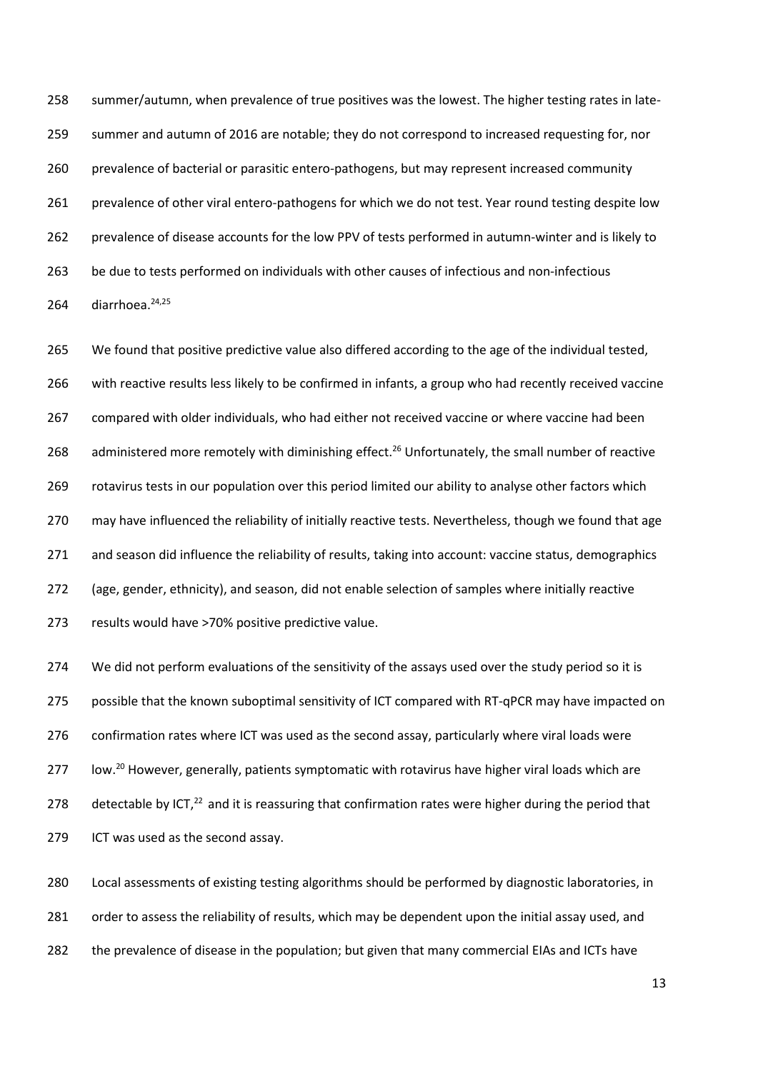summer/autumn, when prevalence of true positives was the lowest. The higher testing rates in late- summer and autumn of 2016 are notable; they do not correspond to increased requesting for, nor prevalence of bacterial or parasitic entero-pathogens, but may represent increased community 261 prevalence of other viral entero-pathogens for which we do not test. Year round testing despite low prevalence of disease accounts for the low PPV of tests performed in autumn-winter and is likely to be due to tests performed on individuals with other causes of infectious and non-infectious 264 diarrhoea.<sup>24,25</sup>

 We found that positive predictive value also differed according to the age of the individual tested, with reactive results less likely to be confirmed in infants, a group who had recently received vaccine compared with older individuals, who had either not received vaccine or where vaccine had been 268 administered more remotely with diminishing effect.<sup>26</sup> Unfortunately, the small number of reactive rotavirus tests in our population over this period limited our ability to analyse other factors which may have influenced the reliability of initially reactive tests. Nevertheless, though we found that age and season did influence the reliability of results, taking into account: vaccine status, demographics (age, gender, ethnicity), and season, did not enable selection of samples where initially reactive results would have >70% positive predictive value.

 We did not perform evaluations of the sensitivity of the assays used over the study period so it is possible that the known suboptimal sensitivity of ICT compared with RT-qPCR may have impacted on confirmation rates where ICT was used as the second assay, particularly where viral loads were 277 low.<sup>20</sup> However, generally, patients symptomatic with rotavirus have higher viral loads which are 278 detectable by ICT, $^{22}$  and it is reassuring that confirmation rates were higher during the period that ICT was used as the second assay.

 Local assessments of existing testing algorithms should be performed by diagnostic laboratories, in order to assess the reliability of results, which may be dependent upon the initial assay used, and the prevalence of disease in the population; but given that many commercial EIAs and ICTs have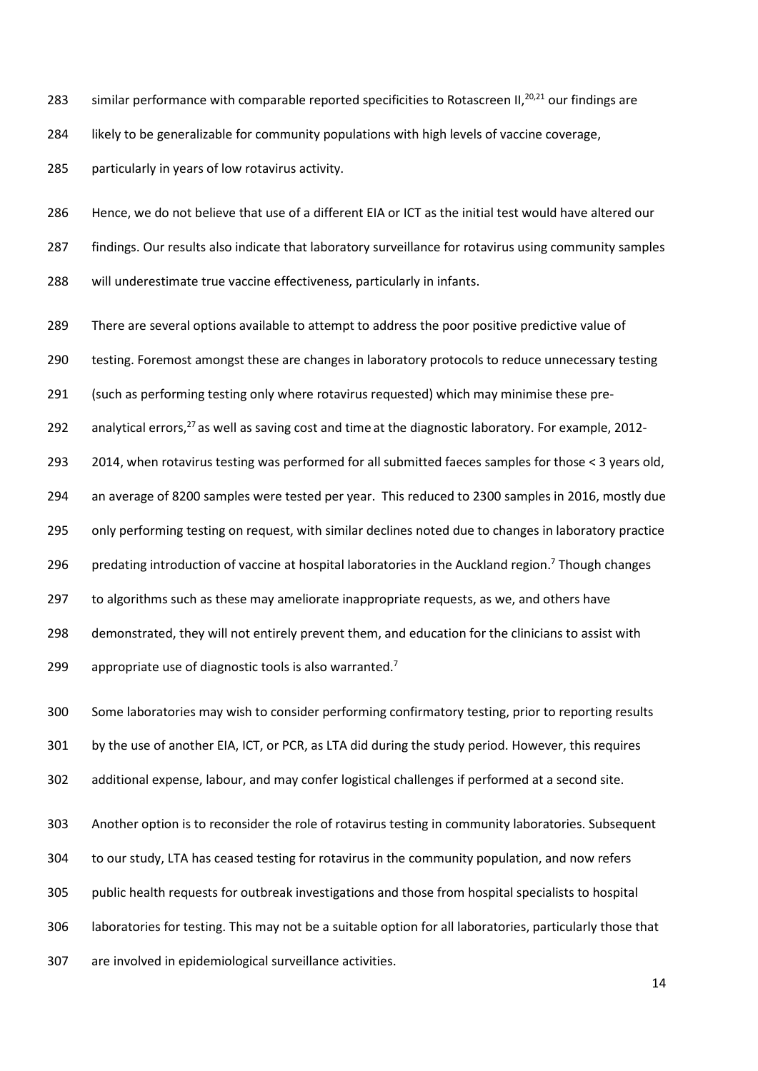283 similar performance with comparable reported specificities to Rotascreen II,<sup>20,21</sup> our findings are

likely to be generalizable for community populations with high levels of vaccine coverage,

particularly in years of low rotavirus activity.

 Hence, we do not believe that use of a different EIA or ICT as the initial test would have altered our 287 findings. Our results also indicate that laboratory surveillance for rotavirus using community samples will underestimate true vaccine effectiveness, particularly in infants.

There are several options available to attempt to address the poor positive predictive value of

testing. Foremost amongst these are changes in laboratory protocols to reduce unnecessary testing

(such as performing testing only where rotavirus requested) which may minimise these pre-

292 analytical errors, as well as saving cost and time at the diagnostic laboratory. For example, 2012-

2014, when rotavirus testing was performed for all submitted faeces samples for those < 3 years old,

an average of 8200 samples were tested per year. This reduced to 2300 samples in 2016, mostly due

only performing testing on request, with similar declines noted due to changes in laboratory practice

296 predating introduction of vaccine at hospital laboratories in the Auckland region.<sup>7</sup> Though changes

to algorithms such as these may ameliorate inappropriate requests, as we, and others have

demonstrated, they will not entirely prevent them, and education for the clinicians to assist with

299 appropriate use of diagnostic tools is also warranted.<sup>7</sup>

Some laboratories may wish to consider performing confirmatory testing, prior to reporting results

by the use of another EIA, ICT, or PCR, as LTA did during the study period. However, this requires

additional expense, labour, and may confer logistical challenges if performed at a second site.

Another option is to reconsider the role of rotavirus testing in community laboratories. Subsequent

to our study, LTA has ceased testing for rotavirus in the community population, and now refers

public health requests for outbreak investigations and those from hospital specialists to hospital

laboratories for testing. This may not be a suitable option for all laboratories, particularly those that

are involved in epidemiological surveillance activities.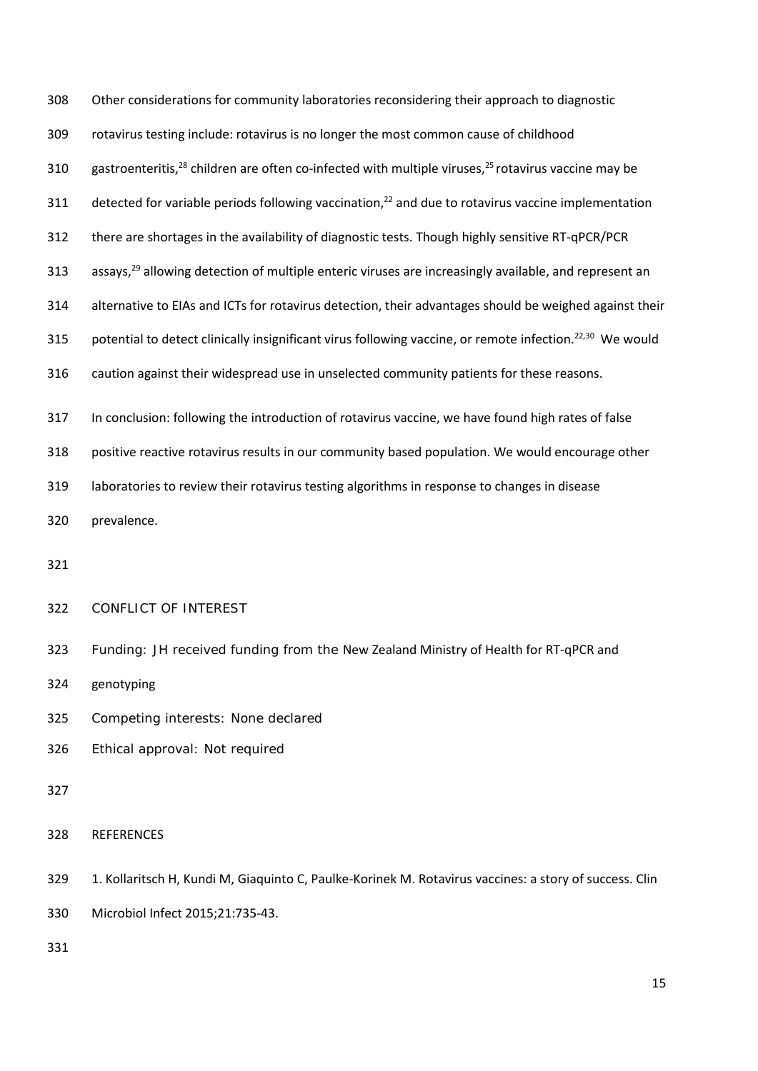Other considerations for community laboratories reconsidering their approach to diagnostic rotavirus testing include: rotavirus is no longer the most common cause of childhood 310 gastroenteritis,<sup>28</sup> children are often co-infected with multiple viruses,<sup>25</sup> rotavirus vaccine may be 311 detected for variable periods following vaccination,<sup>22</sup> and due to rotavirus vaccine implementation there are shortages in the availability of diagnostic tests. Though highly sensitive RT-qPCR/PCR 313 assays,<sup>29</sup> allowing detection of multiple enteric viruses are increasingly available, and represent an alternative to EIAs and ICTs for rotavirus detection, their advantages should be weighed against their 315 potential to detect clinically insignificant virus following vaccine, or remote infection.<sup>22,30</sup> We would caution against their widespread use in unselected community patients for these reasons. In conclusion: following the introduction of rotavirus vaccine, we have found high rates of false positive reactive rotavirus results in our community based population. We would encourage other laboratories to review their rotavirus testing algorithms in response to changes in disease prevalence. CONFLICT OF INTEREST Funding: JH received funding from the New Zealand Ministry of Health for RT-qPCR and genotyping Competing interests: None declared Ethical approval: Not required REFERENCES 1. Kollaritsch H, Kundi M, Giaquinto C, Paulke-Korinek M. Rotavirus vaccines: a story of success. Clin Microbiol Infect 2015;21:735-43.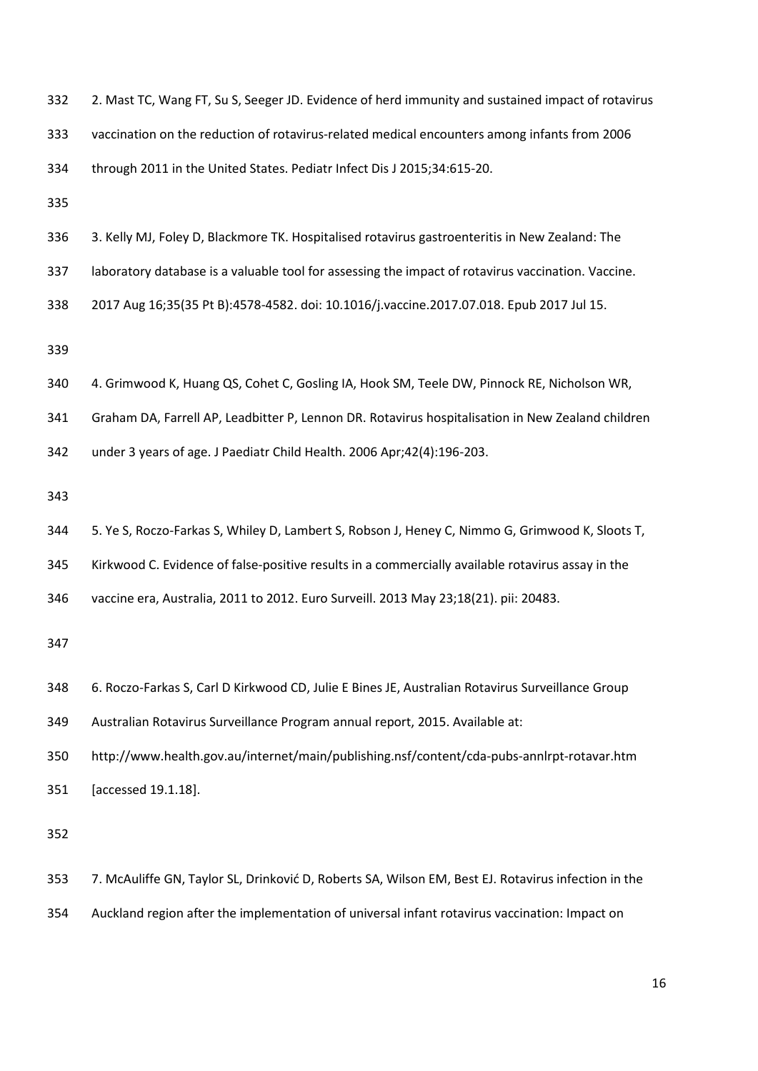| 332 | 2. Mast TC, Wang FT, Su S, Seeger JD. Evidence of herd immunity and sustained impact of rotavirus   |  |  |  |  |  |
|-----|-----------------------------------------------------------------------------------------------------|--|--|--|--|--|
| 333 | vaccination on the reduction of rotavirus-related medical encounters among infants from 2006        |  |  |  |  |  |
| 334 | through 2011 in the United States. Pediatr Infect Dis J 2015;34:615-20.                             |  |  |  |  |  |
| 335 |                                                                                                     |  |  |  |  |  |
| 336 | 3. Kelly MJ, Foley D, Blackmore TK. Hospitalised rotavirus gastroenteritis in New Zealand: The      |  |  |  |  |  |
| 337 | laboratory database is a valuable tool for assessing the impact of rotavirus vaccination. Vaccine.  |  |  |  |  |  |
| 338 | 2017 Aug 16;35(35 Pt B):4578-4582. doi: 10.1016/j.vaccine.2017.07.018. Epub 2017 Jul 15.            |  |  |  |  |  |
| 339 |                                                                                                     |  |  |  |  |  |
| 340 | 4. Grimwood K, Huang QS, Cohet C, Gosling IA, Hook SM, Teele DW, Pinnock RE, Nicholson WR,          |  |  |  |  |  |
| 341 | Graham DA, Farrell AP, Leadbitter P, Lennon DR. Rotavirus hospitalisation in New Zealand children   |  |  |  |  |  |
| 342 | under 3 years of age. J Paediatr Child Health. 2006 Apr;42(4):196-203.                              |  |  |  |  |  |
| 343 |                                                                                                     |  |  |  |  |  |
| 344 | 5. Ye S, Roczo-Farkas S, Whiley D, Lambert S, Robson J, Heney C, Nimmo G, Grimwood K, Sloots T,     |  |  |  |  |  |
| 345 | Kirkwood C. Evidence of false-positive results in a commercially available rotavirus assay in the   |  |  |  |  |  |
| 346 | vaccine era, Australia, 2011 to 2012. Euro Surveill. 2013 May 23;18(21). pii: 20483.                |  |  |  |  |  |
| 347 |                                                                                                     |  |  |  |  |  |
| 348 | 6. Roczo-Farkas S, Carl D Kirkwood CD, Julie E Bines JE, Australian Rotavirus Surveillance Group    |  |  |  |  |  |
| 349 | Australian Rotavirus Surveillance Program annual report, 2015. Available at:                        |  |  |  |  |  |
| 350 | http://www.health.gov.au/internet/main/publishing.nsf/content/cda-pubs-annlrpt-rotavar.htm          |  |  |  |  |  |
| 351 | [accessed 19.1.18].                                                                                 |  |  |  |  |  |
| 352 |                                                                                                     |  |  |  |  |  |
| 353 | 7. McAuliffe GN, Taylor SL, Drinković D, Roberts SA, Wilson EM, Best EJ. Rotavirus infection in the |  |  |  |  |  |
| 354 | Auckland region after the implementation of universal infant rotavirus vaccination: Impact on       |  |  |  |  |  |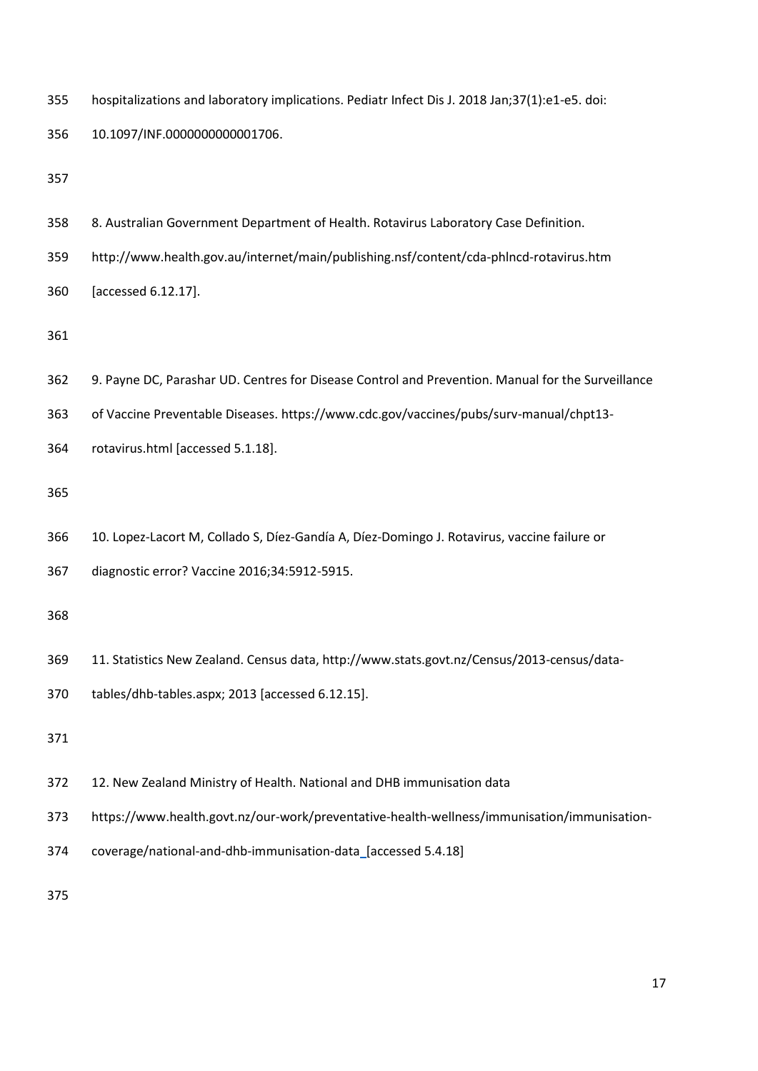| 355 | hospitalizations and laboratory implications. Pediatr Infect Dis J. 2018 Jan;37(1):e1-e5. doi:    |  |  |  |  |
|-----|---------------------------------------------------------------------------------------------------|--|--|--|--|
| 356 | 10.1097/INF.0000000000001706.                                                                     |  |  |  |  |
| 357 |                                                                                                   |  |  |  |  |
| 358 | 8. Australian Government Department of Health. Rotavirus Laboratory Case Definition.              |  |  |  |  |
| 359 | http://www.health.gov.au/internet/main/publishing.nsf/content/cda-phlncd-rotavirus.htm            |  |  |  |  |
| 360 | [accessed 6.12.17].                                                                               |  |  |  |  |
| 361 |                                                                                                   |  |  |  |  |
| 362 | 9. Payne DC, Parashar UD. Centres for Disease Control and Prevention. Manual for the Surveillance |  |  |  |  |
| 363 | of Vaccine Preventable Diseases. https://www.cdc.gov/vaccines/pubs/surv-manual/chpt13-            |  |  |  |  |
| 364 | rotavirus.html [accessed 5.1.18].                                                                 |  |  |  |  |
| 365 |                                                                                                   |  |  |  |  |
| 366 | 10. Lopez-Lacort M, Collado S, Díez-Gandía A, Díez-Domingo J. Rotavirus, vaccine failure or       |  |  |  |  |
| 367 | diagnostic error? Vaccine 2016;34:5912-5915.                                                      |  |  |  |  |
| 368 |                                                                                                   |  |  |  |  |
| 369 | 11. Statistics New Zealand. Census data, http://www.stats.govt.nz/Census/2013-census/data-        |  |  |  |  |
| 370 | tables/dhb-tables.aspx; 2013 [accessed 6.12.15].                                                  |  |  |  |  |
| 371 |                                                                                                   |  |  |  |  |
| 372 | 12. New Zealand Ministry of Health. National and DHB immunisation data                            |  |  |  |  |
| 373 | https://www.health.govt.nz/our-work/preventative-health-wellness/immunisation/immunisation-       |  |  |  |  |
| 374 | coverage/national-and-dhb-immunisation-data_[accessed 5.4.18]                                     |  |  |  |  |
| 375 |                                                                                                   |  |  |  |  |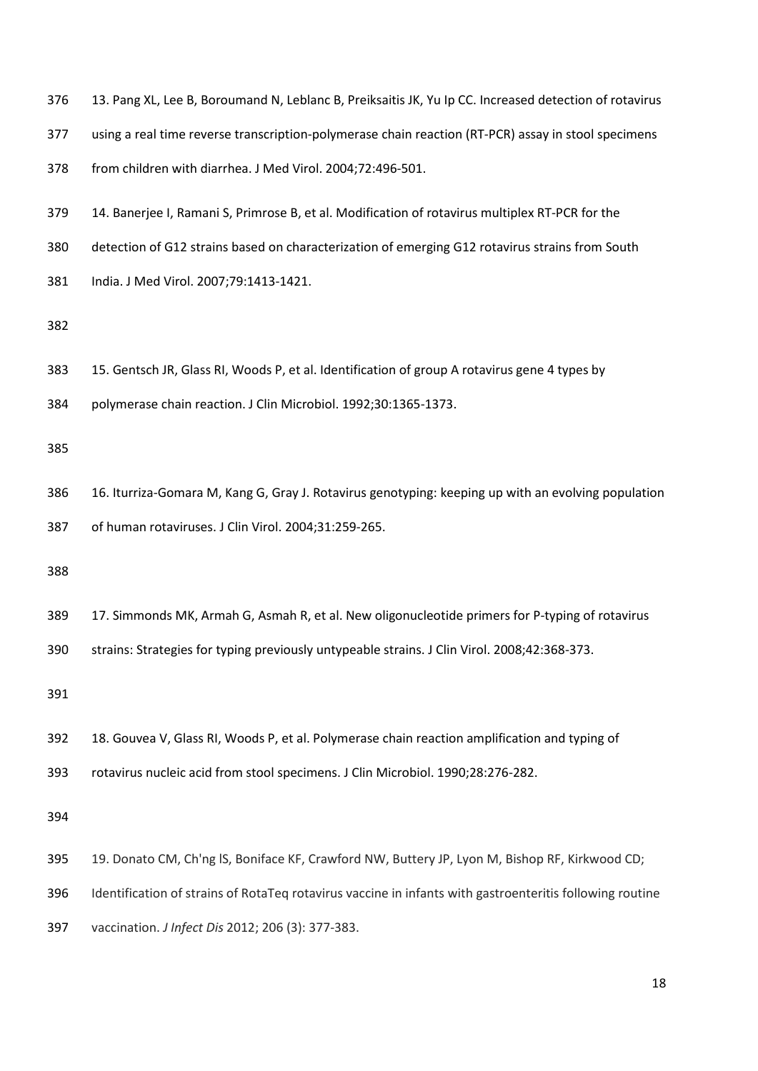|  | 376 13. Pang XL, Lee B, Boroumand N, Leblanc B, Preiksaitis JK, Yu Ip CC. Increased detection of rotavirus |  |  |  |  |  |  |  |
|--|------------------------------------------------------------------------------------------------------------|--|--|--|--|--|--|--|
|--|------------------------------------------------------------------------------------------------------------|--|--|--|--|--|--|--|

- using a real time reverse transcription-polymerase chain reaction (RT-PCR) assay in stool specimens
- from children with diarrhea. J Med Virol. 2004;72:496-501.
- 14. Banerjee I, Ramani S, Primrose B, et al. Modification of rotavirus multiplex RT-PCR for the
- detection of G12 strains based on characterization of emerging G12 rotavirus strains from South
- India. J Med Virol. 2007;79:1413-1421.

- 15. Gentsch JR, Glass RI, Woods P, et al. Identification of group A rotavirus gene 4 types by
- polymerase chain reaction. J Clin Microbiol. 1992;30:1365-1373.

 16. Iturriza-Gomara M, Kang G, Gray J. Rotavirus genotyping: keeping up with an evolving population of human rotaviruses. J Clin Virol. 2004;31:259-265.

17. Simmonds MK, Armah G, Asmah R, et al. New oligonucleotide primers for P-typing of rotavirus

strains: Strategies for typing previously untypeable strains. J Clin Virol. 2008;42:368-373.

- 18. Gouvea V, Glass RI, Woods P, et al. Polymerase chain reaction amplification and typing of
- rotavirus nucleic acid from stool specimens. J Clin Microbiol. 1990;28:276-282.

- 19. Donato CM, Ch'ng lS, Boniface KF, Crawford NW, Buttery JP, Lyon M, Bishop RF, Kirkwood CD;
- Identification of strains of RotaTeq rotavirus vaccine in infants with gastroenteritis following routine
- vaccination. *J Infect Dis* 2012; 206 (3): 377-383.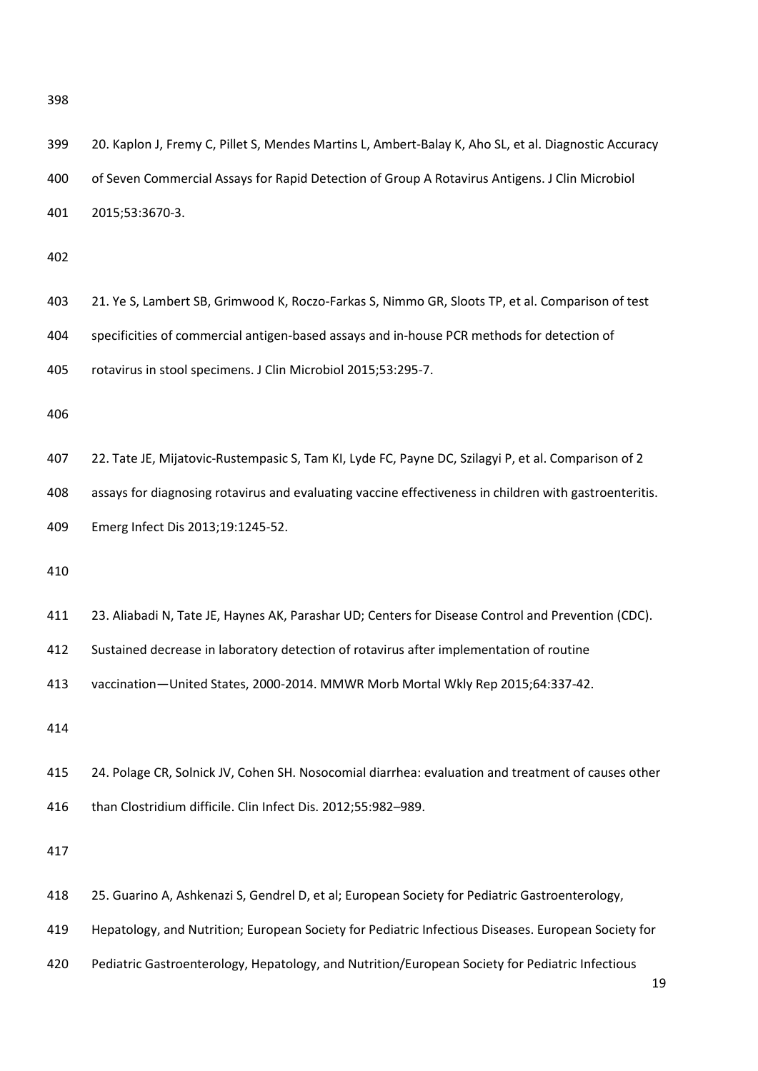| 399 | 20. Kaplon J, Fremy C, Pillet S, Mendes Martins L, Ambert-Balay K, Aho SL, et al. Diagnostic Accuracy  |
|-----|--------------------------------------------------------------------------------------------------------|
| 400 | of Seven Commercial Assays for Rapid Detection of Group A Rotavirus Antigens. J Clin Microbiol         |
| 401 | 2015;53:3670-3.                                                                                        |
| 402 |                                                                                                        |
| 403 | 21. Ye S, Lambert SB, Grimwood K, Roczo-Farkas S, Nimmo GR, Sloots TP, et al. Comparison of test       |
| 404 | specificities of commercial antigen-based assays and in-house PCR methods for detection of             |
| 405 | rotavirus in stool specimens. J Clin Microbiol 2015;53:295-7.                                          |
| 406 |                                                                                                        |
| 407 | 22. Tate JE, Mijatovic-Rustempasic S, Tam KI, Lyde FC, Payne DC, Szilagyi P, et al. Comparison of 2    |
| 408 | assays for diagnosing rotavirus and evaluating vaccine effectiveness in children with gastroenteritis. |
| 409 | Emerg Infect Dis 2013;19:1245-52.                                                                      |
| 410 |                                                                                                        |
| 411 | 23. Aliabadi N, Tate JE, Haynes AK, Parashar UD; Centers for Disease Control and Prevention (CDC).     |
| 412 | Sustained decrease in laboratory detection of rotavirus after implementation of routine                |
| 413 | vaccination-United States, 2000-2014. MMWR Morb Mortal Wkly Rep 2015;64:337-42.                        |
| 414 |                                                                                                        |
| 415 | 24. Polage CR, Solnick JV, Cohen SH. Nosocomial diarrhea: evaluation and treatment of causes other     |
| 416 | than Clostridium difficile. Clin Infect Dis. 2012;55:982-989.                                          |
| 417 |                                                                                                        |
| 418 | 25. Guarino A, Ashkenazi S, Gendrel D, et al; European Society for Pediatric Gastroenterology,         |
| 419 | Hepatology, and Nutrition; European Society for Pediatric Infectious Diseases. European Society for    |
| 420 | Pediatric Gastroenterology, Hepatology, and Nutrition/European Society for Pediatric Infectious<br>19  |
|     |                                                                                                        |